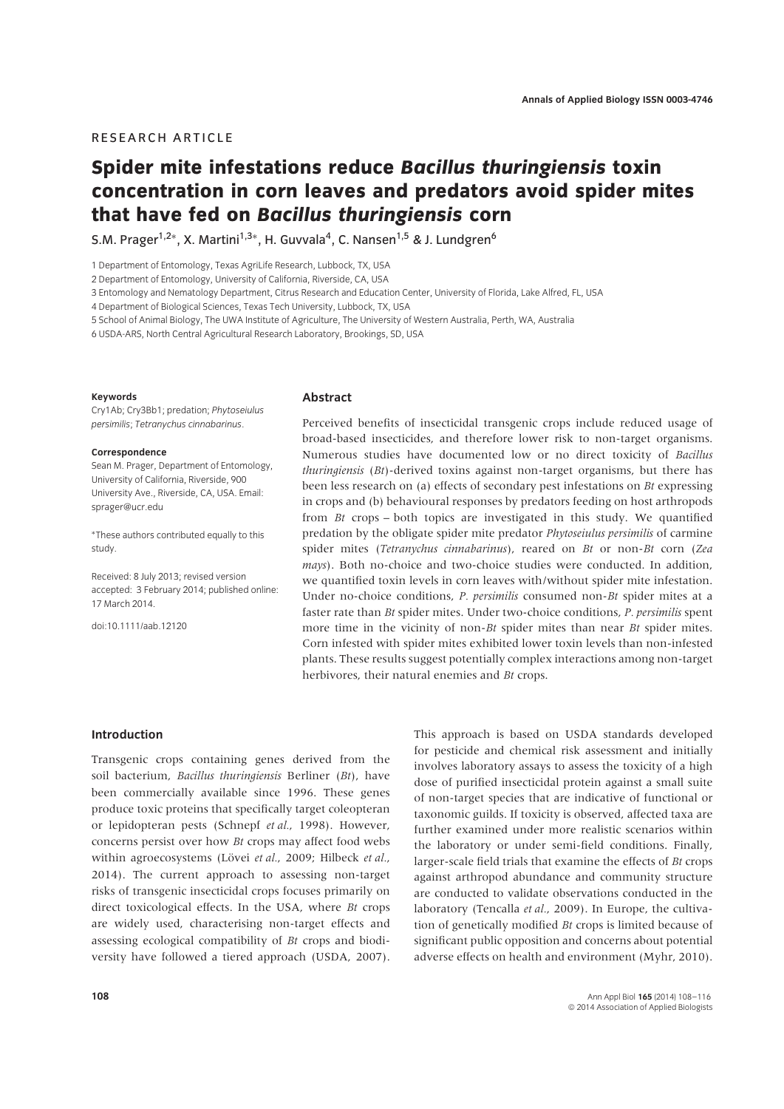# RESEARCH ARTICLE

# **Spider mite infestations reduce** *Bacillus thuringiensis* **toxin concentration in corn leaves and predators avoid spider mites that have fed on** *Bacillus thuringiensis* **corn**

S.M. Prager<sup>1,2∗</sup>, X. Martini<sup>1,3</sup><sup>∗</sup>, H. Guvvala<sup>4</sup>, C. Nansen<sup>1,5</sup> & J. Lundgren<sup>6</sup>

1 Department of Entomology, Texas AgriLife Research, Lubbock, TX, USA

2 Department of Entomology, University of California, Riverside, CA, USA

3 Entomology and Nematology Department, Citrus Research and Education Center, University of Florida, Lake Alfred, FL, USA

4 Department of Biological Sciences, Texas Tech University, Lubbock, TX, USA

5 School of Animal Biology, The UWA Institute of Agriculture, The University of Western Australia, Perth, WA, Australia

6 USDA-ARS, North Central Agricultural Research Laboratory, Brookings, SD, USA

#### **Keywords**

Cry1Ab; Cry3Bb1; predation; *Phytoseiulus persimilis*; *Tetranychus cinnabarinus*.

#### **Correspondence**

Sean M. Prager, Department of Entomology, University of California, Riverside, 900 University Ave., Riverside, CA, USA. Email: sprager@ucr.edu

∗These authors contributed equally to this study.

Received: 8 July 2013; revised version accepted: 3 February 2014; published online: 17 March 2014.

doi:10.1111/aab.12120

#### **Abstract**

Perceived benefits of insecticidal transgenic crops include reduced usage of broad-based insecticides, and therefore lower risk to non-target organisms. Numerous studies have documented low or no direct toxicity of *Bacillus thuringiensis* (*Bt*)-derived toxins against non-target organisms, but there has been less research on (a) effects of secondary pest infestations on *Bt* expressing in crops and (b) behavioural responses by predators feeding on host arthropods from *Bt* crops – both topics are investigated in this study. We quantified predation by the obligate spider mite predator *Phytoseiulus persimilis* of carmine spider mites (*Tetranychus cinnabarinus*), reared on *Bt* or non-*Bt* corn (*Zea mays*). Both no-choice and two-choice studies were conducted. In addition, we quantified toxin levels in corn leaves with/without spider mite infestation. Under no-choice conditions, *P. persimilis* consumed non-*Bt* spider mites at a faster rate than *Bt* spider mites. Under two-choice conditions, *P. persimilis* spent more time in the vicinity of non-*Bt* spider mites than near *Bt* spider mites. Corn infested with spider mites exhibited lower toxin levels than non-infested plants. These results suggest potentially complex interactions among non-target herbivores, their natural enemies and *Bt* crops.

## **Introduction**

Transgenic crops containing genes derived from the soil bacterium, *Bacillus thuringiensis* Berliner (*Bt*), have been commercially available since 1996. These genes produce toxic proteins that specifically target coleopteran or lepidopteran pests (Schnepf *et al.*, 1998). However, concerns persist over how *Bt* crops may affect food webs within agroecosystems (Lövei et al., 2009; Hilbeck et al., 2014). The current approach to assessing non-target risks of transgenic insecticidal crops focuses primarily on direct toxicological effects. In the USA, where *Bt* crops are widely used, characterising non-target effects and assessing ecological compatibility of *Bt* crops and biodiversity have followed a tiered approach (USDA, 2007).

This approach is based on USDA standards developed for pesticide and chemical risk assessment and initially involves laboratory assays to assess the toxicity of a high dose of purified insecticidal protein against a small suite of non-target species that are indicative of functional or taxonomic guilds. If toxicity is observed, affected taxa are further examined under more realistic scenarios within the laboratory or under semi-field conditions. Finally, larger-scale field trials that examine the effects of *Bt* crops against arthropod abundance and community structure are conducted to validate observations conducted in the laboratory (Tencalla *et al.*, 2009). In Europe, the cultivation of genetically modified *Bt* crops is limited because of significant public opposition and concerns about potential adverse effects on health and environment (Myhr, 2010).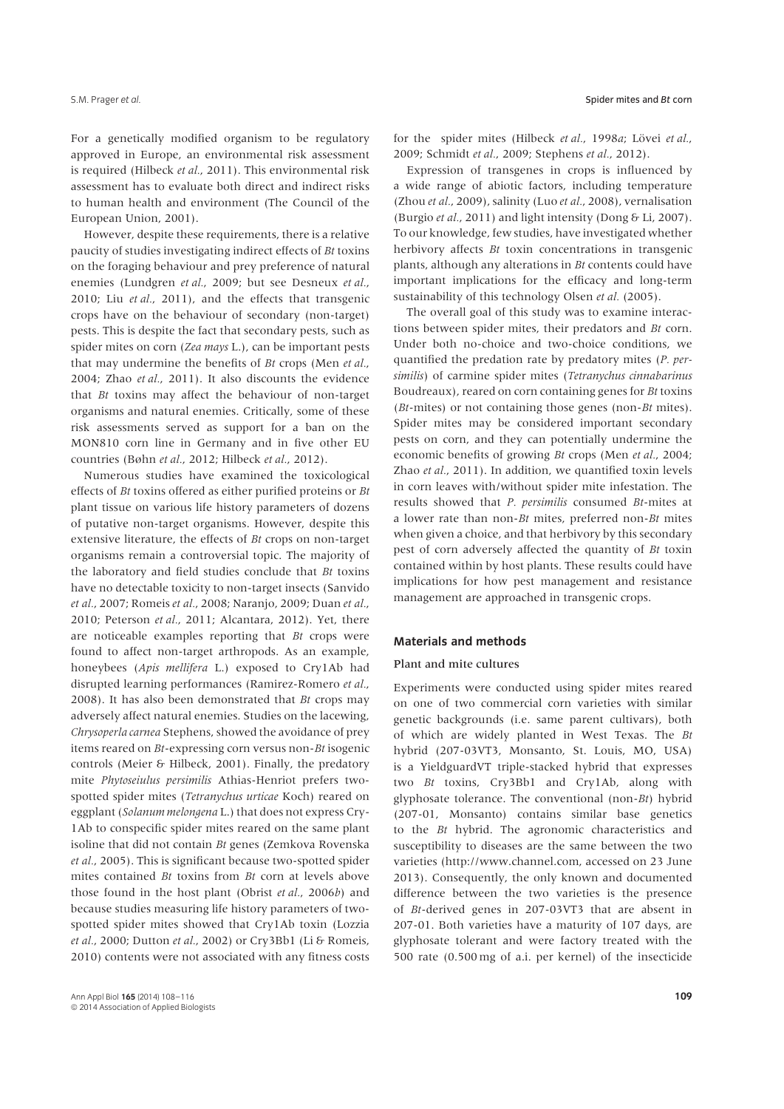For a genetically modified organism to be regulatory approved in Europe, an environmental risk assessment is required (Hilbeck *et al.*, 2011). This environmental risk assessment has to evaluate both direct and indirect risks to human health and environment (The Council of the European Union, 2001).

However, despite these requirements, there is a relative paucity of studies investigating indirect effects of *Bt* toxins on the foraging behaviour and prey preference of natural enemies (Lundgren *et al.*, 2009; but see Desneux *et al.*, 2010; Liu *et al.*, 2011), and the effects that transgenic crops have on the behaviour of secondary (non-target) pests. This is despite the fact that secondary pests, such as spider mites on corn (*Zea mays* L.), can be important pests that may undermine the benefits of *Bt* crops (Men *et al.*, 2004; Zhao *et al.*, 2011). It also discounts the evidence that *Bt* toxins may affect the behaviour of non-target organisms and natural enemies. Critically, some of these risk assessments served as support for a ban on the MON810 corn line in Germany and in five other EU countries (Bøhn *et al.*, 2012; Hilbeck *et al.*, 2012).

Numerous studies have examined the toxicological effects of *Bt* toxins offered as either purified proteins or *Bt* plant tissue on various life history parameters of dozens of putative non-target organisms. However, despite this extensive literature, the effects of *Bt* crops on non-target organisms remain a controversial topic. The majority of the laboratory and field studies conclude that *Bt* toxins have no detectable toxicity to non-target insects (Sanvido *et al.*, 2007; Romeis *et al.*, 2008; Naranjo, 2009; Duan *et al.*, 2010; Peterson *et al.*, 2011; Alcantara, 2012). Yet, there are noticeable examples reporting that *Bt* crops were found to affect non-target arthropods. As an example, honeybees (*Apis mellifera* L.) exposed to Cry1Ab had disrupted learning performances (Ramirez-Romero *et al.*, 2008). It has also been demonstrated that *Bt* crops may adversely affect natural enemies. Studies on the lacewing, *Chrysoperla carnea* Stephens, showed the avoidance of prey items reared on *Bt*-expressing corn versus non-*Bt* isogenic controls (Meier & Hilbeck, 2001). Finally, the predatory mite *Phytoseiulus persimilis* Athias-Henriot prefers twospotted spider mites (*Tetranychus urticae* Koch) reared on eggplant (*Solanum melongena* L.) that does not express Cry-1Ab to conspecific spider mites reared on the same plant isoline that did not contain *Bt* genes (Zemkova Rovenska *et al.*, 2005). This is significant because two-spotted spider mites contained *Bt* toxins from *Bt* corn at levels above those found in the host plant (Obrist *et al.*, 2006*b*) and because studies measuring life history parameters of twospotted spider mites showed that Cry1Ab toxin (Lozzia *et al.*, 2000; Dutton *et al.*, 2002) or Cry3Bb1 (Li & Romeis, 2010) contents were not associated with any fitness costs

for the spider mites (Hilbeck et al., 1998a; Lövei et al., 2009; Schmidt *et al.*, 2009; Stephens *et al.*, 2012).

Expression of transgenes in crops is influenced by a wide range of abiotic factors, including temperature (Zhou *et al.*, 2009), salinity (Luo *et al.*, 2008), vernalisation (Burgio *et al.*, 2011) and light intensity (Dong & Li, 2007). To our knowledge, few studies, have investigated whether herbivory affects *Bt* toxin concentrations in transgenic plants, although any alterations in *Bt* contents could have important implications for the efficacy and long-term sustainability of this technology Olsen *et al.* (2005).

The overall goal of this study was to examine interactions between spider mites, their predators and *Bt* corn. Under both no-choice and two-choice conditions, we quantified the predation rate by predatory mites (*P. persimilis*) of carmine spider mites (*Tetranychus cinnabarinus* Boudreaux), reared on corn containing genes for *Bt* toxins (*Bt*-mites) or not containing those genes (non-*Bt* mites). Spider mites may be considered important secondary pests on corn, and they can potentially undermine the economic benefits of growing *Bt* crops (Men *et al.*, 2004; Zhao *et al.*, 2011). In addition, we quantified toxin levels in corn leaves with/without spider mite infestation. The results showed that *P. persimilis* consumed *Bt*-mites at a lower rate than non-*Bt* mites, preferred non-*Bt* mites when given a choice, and that herbivory by this secondary pest of corn adversely affected the quantity of *Bt* toxin contained within by host plants. These results could have implications for how pest management and resistance management are approached in transgenic crops.

## **Materials and methods**

#### Plant and mite cultures

Experiments were conducted using spider mites reared on one of two commercial corn varieties with similar genetic backgrounds (i.e. same parent cultivars), both of which are widely planted in West Texas. The *Bt* hybrid (207-03VT3, Monsanto, St. Louis, MO, USA) is a YieldguardVT triple-stacked hybrid that expresses two *Bt* toxins, Cry3Bb1 and Cry1Ab, along with glyphosate tolerance. The conventional (non-*Bt*) hybrid (207-01, Monsanto) contains similar base genetics to the *Bt* hybrid. The agronomic characteristics and susceptibility to diseases are the same between the two varieties (http://www.channel.com, accessed on 23 June 2013). Consequently, the only known and documented difference between the two varieties is the presence of *Bt*-derived genes in 207-03VT3 that are absent in 207-01. Both varieties have a maturity of 107 days, are glyphosate tolerant and were factory treated with the 500 rate (0.500 mg of a.i. per kernel) of the insecticide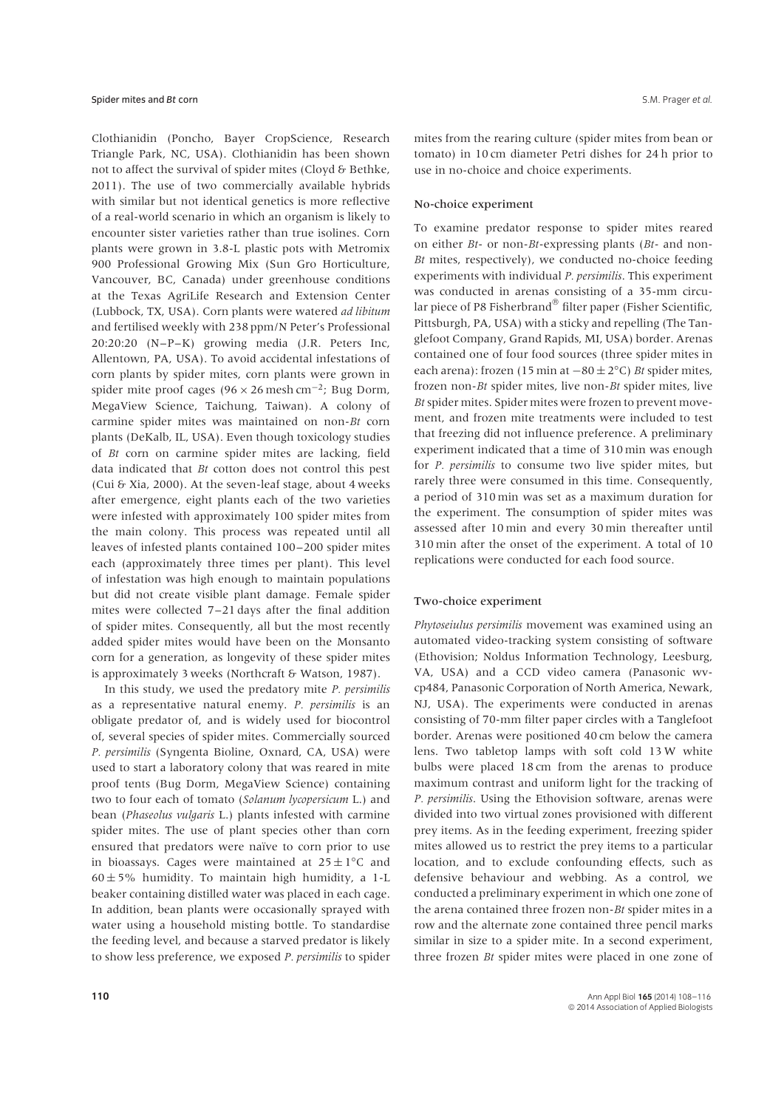Clothianidin (Poncho, Bayer CropScience, Research Triangle Park, NC, USA). Clothianidin has been shown not to affect the survival of spider mites (Cloyd & Bethke, 2011). The use of two commercially available hybrids with similar but not identical genetics is more reflective of a real-world scenario in which an organism is likely to encounter sister varieties rather than true isolines. Corn plants were grown in 3.8-L plastic pots with Metromix 900 Professional Growing Mix (Sun Gro Horticulture, Vancouver, BC, Canada) under greenhouse conditions at the Texas AgriLife Research and Extension Center (Lubbock, TX, USA). Corn plants were watered *ad libitum* and fertilised weekly with 238 ppm/N Peter's Professional 20:20:20 (N–P–K) growing media (J.R. Peters Inc, Allentown, PA, USA). To avoid accidental infestations of corn plants by spider mites, corn plants were grown in spider mite proof cages (96  $\times$  26 mesh cm<sup>-2</sup>; Bug Dorm, MegaView Science, Taichung, Taiwan). A colony of carmine spider mites was maintained on non-*Bt* corn plants (DeKalb, IL, USA). Even though toxicology studies of *Bt* corn on carmine spider mites are lacking, field data indicated that *Bt* cotton does not control this pest (Cui & Xia, 2000). At the seven-leaf stage, about 4 weeks after emergence, eight plants each of the two varieties were infested with approximately 100 spider mites from the main colony. This process was repeated until all leaves of infested plants contained 100–200 spider mites each (approximately three times per plant). This level of infestation was high enough to maintain populations but did not create visible plant damage. Female spider mites were collected 7–21 days after the final addition of spider mites. Consequently, all but the most recently added spider mites would have been on the Monsanto corn for a generation, as longevity of these spider mites is approximately 3 weeks (Northcraft & Watson, 1987).

In this study, we used the predatory mite *P. persimilis* as a representative natural enemy. *P. persimilis* is an obligate predator of, and is widely used for biocontrol of, several species of spider mites. Commercially sourced *P. persimilis* (Syngenta Bioline, Oxnard, CA, USA) were used to start a laboratory colony that was reared in mite proof tents (Bug Dorm, MegaView Science) containing two to four each of tomato (*Solanum lycopersicum* L.) and bean (*Phaseolus vulgaris* L.) plants infested with carmine spider mites. The use of plant species other than corn ensured that predators were naïve to corn prior to use in bioassays. Cages were maintained at  $25 \pm 1^{\circ}$ C and  $60 \pm 5\%$  humidity. To maintain high humidity, a 1-L beaker containing distilled water was placed in each cage. In addition, bean plants were occasionally sprayed with water using a household misting bottle. To standardise the feeding level, and because a starved predator is likely to show less preference, we exposed *P. persimilis* to spider

mites from the rearing culture (spider mites from bean or tomato) in 10 cm diameter Petri dishes for 24 h prior to use in no-choice and choice experiments.

#### No-choice experiment

To examine predator response to spider mites reared on either *Bt*- or non-*Bt*-expressing plants (*Bt*- and non-*Bt* mites, respectively), we conducted no-choice feeding experiments with individual *P. persimilis*. This experiment was conducted in arenas consisting of a 35-mm circular piece of P8 Fisherbrand<sup>®</sup> filter paper (Fisher Scientific, Pittsburgh, PA, USA) with a sticky and repelling (The Tanglefoot Company, Grand Rapids, MI, USA) border. Arenas contained one of four food sources (three spider mites in each arena): frozen (15 min at −80 ± 2°C) *Bt* spider mites, frozen non-*Bt* spider mites, live non-*Bt* spider mites, live *Bt* spider mites. Spider mites were frozen to prevent movement, and frozen mite treatments were included to test that freezing did not influence preference. A preliminary experiment indicated that a time of 310 min was enough for *P. persimilis* to consume two live spider mites, but rarely three were consumed in this time. Consequently, a period of 310 min was set as a maximum duration for the experiment. The consumption of spider mites was assessed after 10 min and every 30 min thereafter until 310 min after the onset of the experiment. A total of 10 replications were conducted for each food source.

## Two-choice experiment

*Phytoseiulus persimilis* movement was examined using an automated video-tracking system consisting of software (Ethovision; Noldus Information Technology, Leesburg, VA, USA) and a CCD video camera (Panasonic wvcp484, Panasonic Corporation of North America, Newark, NJ, USA). The experiments were conducted in arenas consisting of 70-mm filter paper circles with a Tanglefoot border. Arenas were positioned 40 cm below the camera lens. Two tabletop lamps with soft cold 13W white bulbs were placed 18 cm from the arenas to produce maximum contrast and uniform light for the tracking of *P. persimilis*. Using the Ethovision software, arenas were divided into two virtual zones provisioned with different prey items. As in the feeding experiment, freezing spider mites allowed us to restrict the prey items to a particular location, and to exclude confounding effects, such as defensive behaviour and webbing. As a control, we conducted a preliminary experiment in which one zone of the arena contained three frozen non-*Bt* spider mites in a row and the alternate zone contained three pencil marks similar in size to a spider mite. In a second experiment, three frozen *Bt* spider mites were placed in one zone of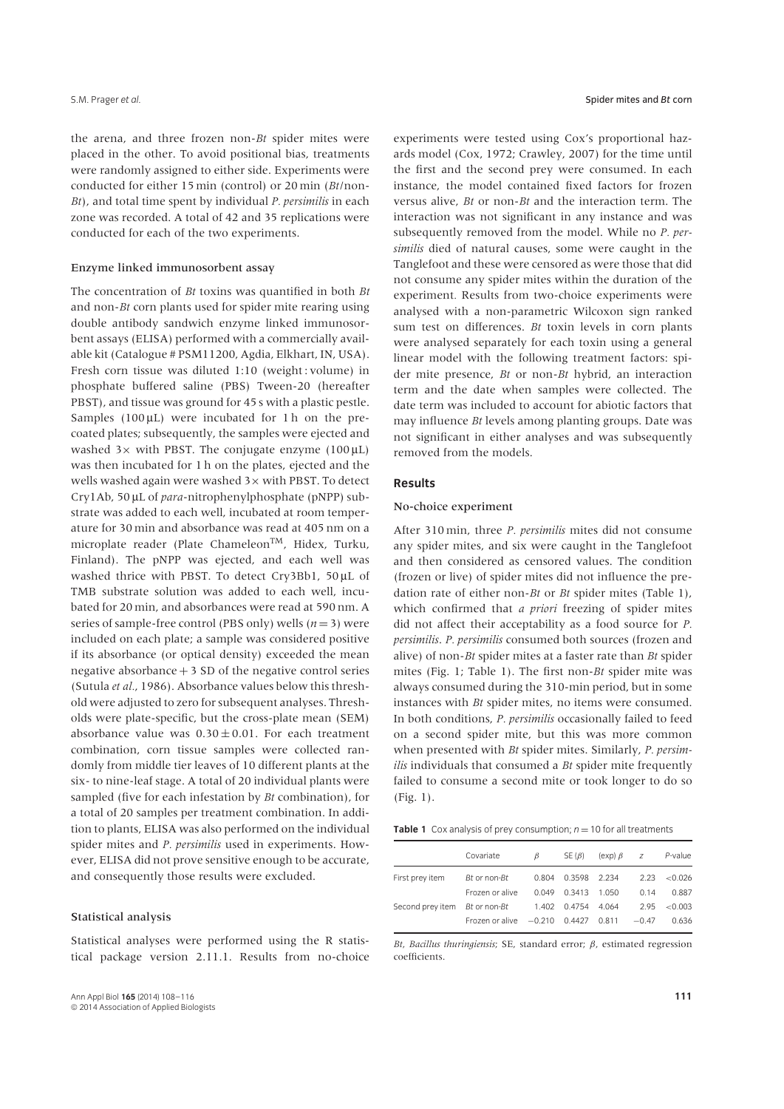the arena, and three frozen non-*Bt* spider mites were placed in the other. To avoid positional bias, treatments were randomly assigned to either side. Experiments were conducted for either 15 min (control) or 20 min (*Bt*/non-*Bt*), and total time spent by individual *P. persimilis* in each zone was recorded. A total of 42 and 35 replications were conducted for each of the two experiments.

#### Enzyme linked immunosorbent assay

The concentration of *Bt* toxins was quantified in both *Bt* and non-*Bt* corn plants used for spider mite rearing using double antibody sandwich enzyme linked immunosorbent assays (ELISA) performed with a commercially available kit (Catalogue # PSM11200, Agdia, Elkhart, IN, USA). Fresh corn tissue was diluted 1:10 (weight : volume) in phosphate buffered saline (PBS) Tween-20 (hereafter PBST), and tissue was ground for 45 s with a plastic pestle. Samples (100 μL) were incubated for 1 h on the precoated plates; subsequently, the samples were ejected and washed  $3\times$  with PBST. The conjugate enzyme (100  $\mu$ L) was then incubated for 1 h on the plates, ejected and the wells washed again were washed 3× with PBST. To detect Cry1Ab, 50 μL of *para*-nitrophenylphosphate (pNPP) substrate was added to each well, incubated at room temperature for 30 min and absorbance was read at 405 nm on a microplate reader (Plate Chameleon<sup>TM</sup>, Hidex, Turku, Finland). The pNPP was ejected, and each well was washed thrice with PBST. To detect Cry3Bb1, 50 μL of TMB substrate solution was added to each well, incubated for 20 min, and absorbances were read at 590 nm. A series of sample-free control (PBS only) wells  $(n=3)$  were included on each plate; a sample was considered positive if its absorbance (or optical density) exceeded the mean negative absorbance  $+3$  SD of the negative control series (Sutula *et al.*, 1986). Absorbance values below this threshold were adjusted to zero for subsequent analyses. Thresholds were plate-specific, but the cross-plate mean (SEM) absorbance value was  $0.30 \pm 0.01$ . For each treatment combination, corn tissue samples were collected randomly from middle tier leaves of 10 different plants at the six- to nine-leaf stage. A total of 20 individual plants were sampled (five for each infestation by *Bt* combination), for a total of 20 samples per treatment combination. In addition to plants, ELISA was also performed on the individual spider mites and *P. persimilis* used in experiments. However, ELISA did not prove sensitive enough to be accurate, and consequently those results were excluded.

### Statistical analysis

Statistical analyses were performed using the R statistical package version 2.11.1. Results from no-choice

experiments were tested using Cox's proportional hazards model (Cox, 1972; Crawley, 2007) for the time until the first and the second prey were consumed. In each instance, the model contained fixed factors for frozen versus alive, *Bt* or non-*Bt* and the interaction term. The interaction was not significant in any instance and was subsequently removed from the model. While no *P. persimilis* died of natural causes, some were caught in the Tanglefoot and these were censored as were those that did not consume any spider mites within the duration of the experiment*.* Results from two-choice experiments were analysed with a non-parametric Wilcoxon sign ranked sum test on differences. *Bt* toxin levels in corn plants were analysed separately for each toxin using a general linear model with the following treatment factors: spider mite presence, *Bt* or non-*Bt* hybrid, an interaction term and the date when samples were collected. The date term was included to account for abiotic factors that may influence *Bt* levels among planting groups. Date was not significant in either analyses and was subsequently removed from the models.

# **Results**

# No-choice experiment

After 310 min, three *P. persimilis* mites did not consume any spider mites, and six were caught in the Tanglefoot and then considered as censored values. The condition (frozen or live) of spider mites did not influence the predation rate of either non-*Bt* or *Bt* spider mites (Table 1), which confirmed that *a priori* freezing of spider mites did not affect their acceptability as a food source for *P. persimilis*. *P. persimilis* consumed both sources (frozen and alive) of non-*Bt* spider mites at a faster rate than *Bt* spider mites (Fig. 1; Table 1). The first non-*Bt* spider mite was always consumed during the 310-min period, but in some instances with *Bt* spider mites, no items were consumed. In both conditions, *P. persimilis* occasionally failed to feed on a second spider mite, but this was more common when presented with *Bt* spider mites. Similarly, *P. persimilis* individuals that consumed a *Bt* spider mite frequently failed to consume a second mite or took longer to do so (Fig. 1).

|                                                  | Covariate                                     | Β     |                    | $SE(\beta)$ (exp) $\beta$ z | P-value          |
|--------------------------------------------------|-----------------------------------------------|-------|--------------------|-----------------------------|------------------|
| First prey item                                  | Bt or non-Bt                                  |       | 0.804 0.3598 2.234 |                             | $2.23 \le 0.026$ |
|                                                  | Frozen or alive                               | 0.049 | 0.3413 1.050       | 0.14                        | 0.887            |
| Second prey item Bt or non-Bt 1.402 0.4754 4.064 |                                               |       |                    | 2.95                        | < 0.003          |
|                                                  | Frozen or alive $-0.210$ 0.4427 0.811 $-0.47$ |       |                    |                             | 0.636            |

*Bt*, *Bacillus thuringiensis*; SE, standard error; *β*, estimated regression coefficients.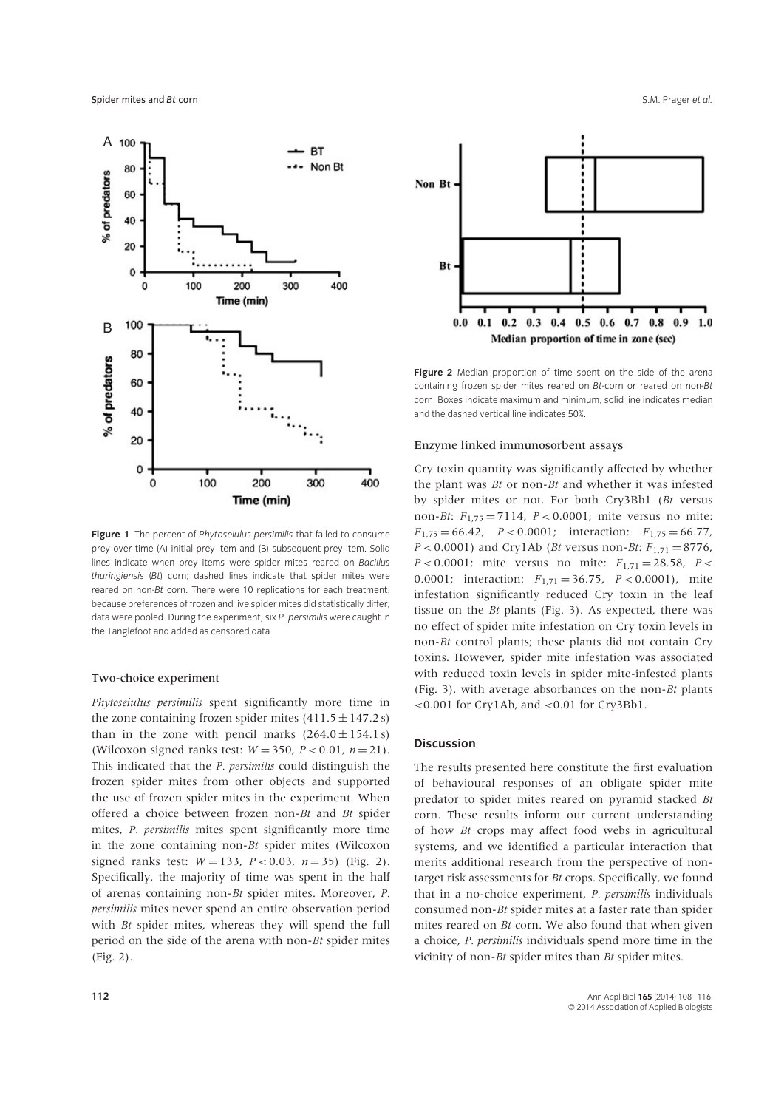

**Figure 1** The percent of *Phytoseiulus persimilis* that failed to consume prey over time (A) initial prey item and (B) subsequent prey item. Solid lines indicate when prey items were spider mites reared on *Bacillus thuringiensis* (*Bt*) corn; dashed lines indicate that spider mites were reared on non-*Bt* corn. There were 10 replications for each treatment; because preferences of frozen and live spider mites did statistically differ, data were pooled. During the experiment, six *P. persimilis* were caught in the Tanglefoot and added as censored data.

## Two-choice experiment

*Phytoseiulus persimilis* spent significantly more time in the zone containing frozen spider mites  $(411.5 \pm 147.2 s)$ than in the zone with pencil marks  $(264.0 \pm 154.1 s)$ (Wilcoxon signed ranks test:  $W = 350$ ,  $P < 0.01$ ,  $n = 21$ ). This indicated that the *P. persimilis* could distinguish the frozen spider mites from other objects and supported the use of frozen spider mites in the experiment. When offered a choice between frozen non-*Bt* and *Bt* spider mites, *P. persimilis* mites spent significantly more time in the zone containing non-*Bt* spider mites (Wilcoxon signed ranks test:  $W = 133$ ,  $P < 0.03$ ,  $n = 35$ ) (Fig. 2). Specifically, the majority of time was spent in the half of arenas containing non-*Bt* spider mites. Moreover, *P. persimilis* mites never spend an entire observation period with *Bt* spider mites, whereas they will spend the full period on the side of the arena with non-*Bt* spider mites (Fig. 2).



**Figure 2** Median proportion of time spent on the side of the arena containing frozen spider mites reared on *Bt*-corn or reared on non-*Bt* corn. Boxes indicate maximum and minimum, solid line indicates median and the dashed vertical line indicates 50%.

#### Enzyme linked immunosorbent assays

Cry toxin quantity was significantly affected by whether the plant was *Bt* or non-*Bt* and whether it was infested by spider mites or not. For both Cry3Bb1 (*Bt* versus non-*Bt*:  $F_{1,75} = 7114$ ,  $P < 0.0001$ ; mite versus no mite:  $F_{1,75} = 66.42$ ,  $P < 0.0001$ ; interaction:  $F_{1,75} = 66.77$ , *P <* 0.0001) and Cry1Ab (*Bt* versus non-*Bt*: *F*1,71 = 8776, *P* < 0.0001; mite versus no mite:  $F_{1,71} = 28.58$ , *P* < 0.0001; interaction: *F*1,71 = 36.75, *P <* 0.0001), mite infestation significantly reduced Cry toxin in the leaf tissue on the *Bt* plants (Fig. 3). As expected, there was no effect of spider mite infestation on Cry toxin levels in non-*Bt* control plants; these plants did not contain Cry toxins. However, spider mite infestation was associated with reduced toxin levels in spider mite-infested plants (Fig. 3), with average absorbances on the non-*Bt* plants *<*0.001 for Cry1Ab, and *<*0.01 for Cry3Bb1.

# **Discussion**

The results presented here constitute the first evaluation of behavioural responses of an obligate spider mite predator to spider mites reared on pyramid stacked *Bt* corn. These results inform our current understanding of how *Bt* crops may affect food webs in agricultural systems, and we identified a particular interaction that merits additional research from the perspective of nontarget risk assessments for *Bt* crops. Specifically, we found that in a no-choice experiment, *P. persimilis* individuals consumed non-*Bt* spider mites at a faster rate than spider mites reared on *Bt* corn. We also found that when given a choice, *P. persimilis* individuals spend more time in the vicinity of non-*Bt* spider mites than *Bt* spider mites.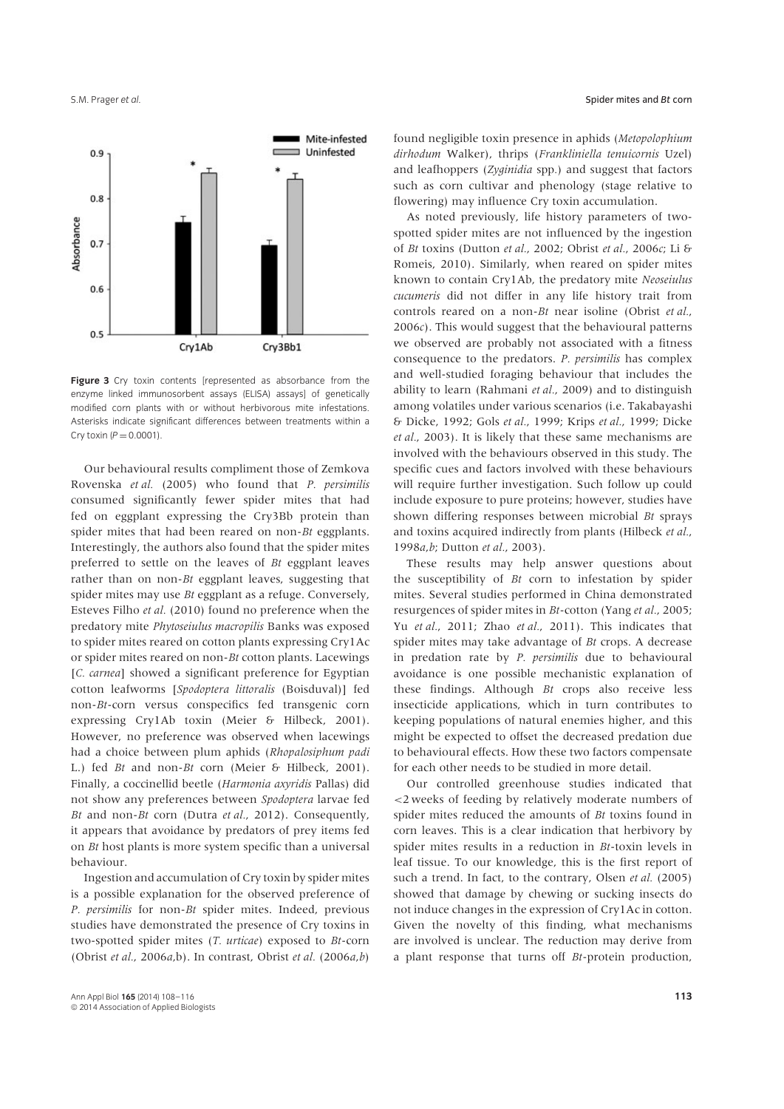

**Figure 3** Cry toxin contents [represented as absorbance from the enzyme linked immunosorbent assays (ELISA) assays] of genetically modified corn plants with or without herbivorous mite infestations. Asterisks indicate significant differences between treatments within a Cry toxin  $(P = 0.0001)$ .

Our behavioural results compliment those of Zemkova Rovenska *et al.* (2005) who found that *P. persimilis* consumed significantly fewer spider mites that had fed on eggplant expressing the Cry3Bb protein than spider mites that had been reared on non-*Bt* eggplants. Interestingly, the authors also found that the spider mites preferred to settle on the leaves of *Bt* eggplant leaves rather than on non-*Bt* eggplant leaves, suggesting that spider mites may use *Bt* eggplant as a refuge. Conversely, Esteves Filho *et al.* (2010) found no preference when the predatory mite *Phytoseiulus macropilis* Banks was exposed to spider mites reared on cotton plants expressing Cry1Ac or spider mites reared on non-*Bt* cotton plants. Lacewings [*C. carnea*] showed a significant preference for Egyptian cotton leafworms [*Spodoptera littoralis* (Boisduval)] fed non-*Bt*-corn versus conspecifics fed transgenic corn expressing Cry1Ab toxin (Meier & Hilbeck, 2001). However, no preference was observed when lacewings had a choice between plum aphids (*Rhopalosiphum padi* L.) fed *Bt* and non-*Bt* corn (Meier & Hilbeck, 2001). Finally, a coccinellid beetle (*Harmonia axyridis* Pallas) did not show any preferences between *Spodoptera* larvae fed *Bt* and non-*Bt* corn (Dutra *et al.*, 2012). Consequently, it appears that avoidance by predators of prey items fed on *Bt* host plants is more system specific than a universal behaviour.

Ingestion and accumulation of Cry toxin by spider mites is a possible explanation for the observed preference of *P. persimilis* for non-*Bt* spider mites. Indeed, previous studies have demonstrated the presence of Cry toxins in two-spotted spider mites (*T. urticae*) exposed to *Bt*-corn (Obrist *et al.*, 2006*a*,b). In contrast, Obrist *et al.* (2006*a*,*b*)

found negligible toxin presence in aphids (*Metopolophium dirhodum* Walker), thrips (*Frankliniella tenuicornis* Uzel) and leafhoppers (*Zyginidia* spp*.*) and suggest that factors such as corn cultivar and phenology (stage relative to flowering) may influence Cry toxin accumulation.

As noted previously, life history parameters of twospotted spider mites are not influenced by the ingestion of *Bt* toxins (Dutton *et al.*, 2002; Obrist *et al.*, 2006*c*; Li & Romeis, 2010). Similarly, when reared on spider mites known to contain Cry1Ab, the predatory mite *Neoseiulus cucumeris* did not differ in any life history trait from controls reared on a non-*Bt* near isoline (Obrist *et al.*, 2006*c*). This would suggest that the behavioural patterns we observed are probably not associated with a fitness consequence to the predators. *P. persimilis* has complex and well-studied foraging behaviour that includes the ability to learn (Rahmani *et al.*, 2009) and to distinguish among volatiles under various scenarios (i.e. Takabayashi & Dicke, 1992; Gols *et al.*, 1999; Krips *et al.*, 1999; Dicke *et al.*, 2003). It is likely that these same mechanisms are involved with the behaviours observed in this study. The specific cues and factors involved with these behaviours will require further investigation. Such follow up could include exposure to pure proteins; however, studies have shown differing responses between microbial *Bt* sprays and toxins acquired indirectly from plants (Hilbeck *et al.*, 1998*a*,*b*; Dutton *et al.*, 2003).

These results may help answer questions about the susceptibility of *Bt* corn to infestation by spider mites. Several studies performed in China demonstrated resurgences of spider mites in *Bt*-cotton (Yang *et al.*, 2005; Yu *et al.*, 2011; Zhao *et al.*, 2011). This indicates that spider mites may take advantage of *Bt* crops. A decrease in predation rate by *P. persimilis* due to behavioural avoidance is one possible mechanistic explanation of these findings. Although *Bt* crops also receive less insecticide applications, which in turn contributes to keeping populations of natural enemies higher, and this might be expected to offset the decreased predation due to behavioural effects. How these two factors compensate for each other needs to be studied in more detail.

Our controlled greenhouse studies indicated that *<*2 weeks of feeding by relatively moderate numbers of spider mites reduced the amounts of *Bt* toxins found in corn leaves. This is a clear indication that herbivory by spider mites results in a reduction in *Bt*-toxin levels in leaf tissue. To our knowledge, this is the first report of such a trend. In fact, to the contrary, Olsen *et al.* (2005) showed that damage by chewing or sucking insects do not induce changes in the expression of Cry1Ac in cotton. Given the novelty of this finding, what mechanisms are involved is unclear. The reduction may derive from a plant response that turns off *Bt*-protein production,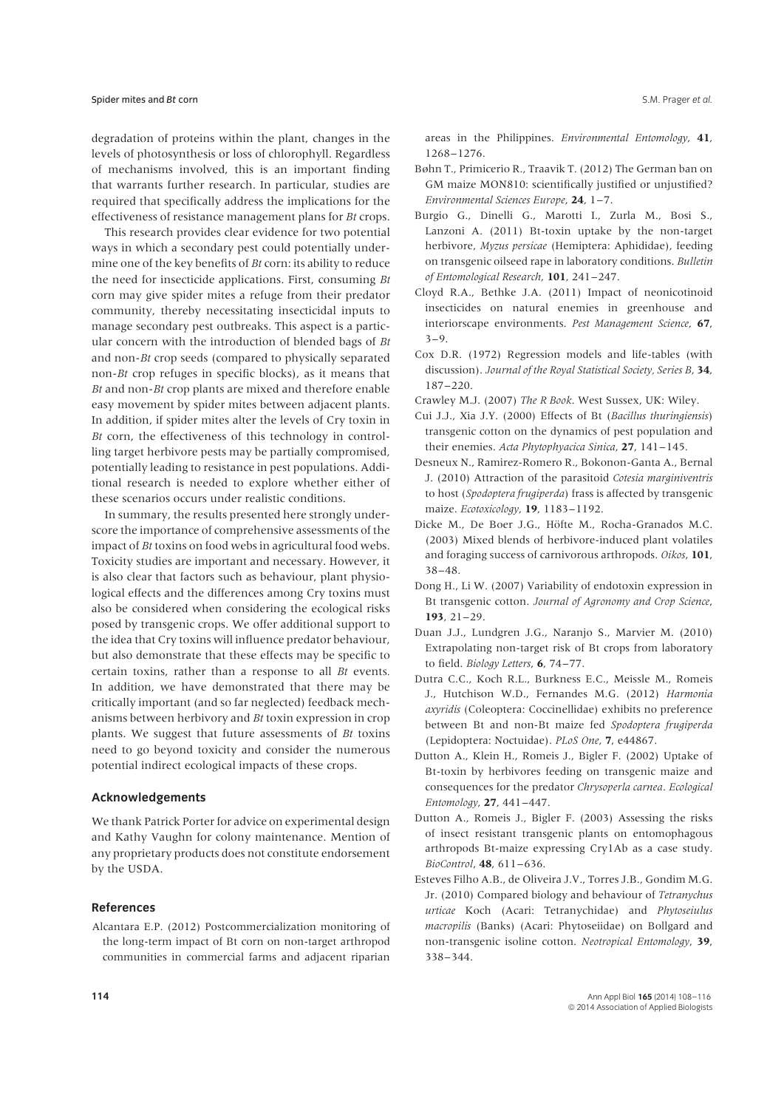degradation of proteins within the plant, changes in the levels of photosynthesis or loss of chlorophyll. Regardless of mechanisms involved, this is an important finding that warrants further research. In particular, studies are required that specifically address the implications for the effectiveness of resistance management plans for *Bt* crops.

This research provides clear evidence for two potential ways in which a secondary pest could potentially undermine one of the key benefits of *Bt* corn: its ability to reduce the need for insecticide applications. First, consuming *Bt* corn may give spider mites a refuge from their predator community, thereby necessitating insecticidal inputs to manage secondary pest outbreaks. This aspect is a particular concern with the introduction of blended bags of *Bt* and non-*Bt* crop seeds (compared to physically separated non-*Bt* crop refuges in specific blocks), as it means that *Bt* and non-*Bt* crop plants are mixed and therefore enable easy movement by spider mites between adjacent plants. In addition, if spider mites alter the levels of Cry toxin in *Bt* corn, the effectiveness of this technology in controlling target herbivore pests may be partially compromised, potentially leading to resistance in pest populations. Additional research is needed to explore whether either of these scenarios occurs under realistic conditions.

In summary, the results presented here strongly underscore the importance of comprehensive assessments of the impact of *Bt* toxins on food webs in agricultural food webs. Toxicity studies are important and necessary. However, it is also clear that factors such as behaviour, plant physiological effects and the differences among Cry toxins must also be considered when considering the ecological risks posed by transgenic crops. We offer additional support to the idea that Cry toxins will influence predator behaviour, but also demonstrate that these effects may be specific to certain toxins, rather than a response to all *Bt* events*.* In addition, we have demonstrated that there may be critically important (and so far neglected) feedback mechanisms between herbivory and *Bt* toxin expression in crop plants. We suggest that future assessments of *Bt* toxins need to go beyond toxicity and consider the numerous potential indirect ecological impacts of these crops.

## **Acknowledgements**

We thank Patrick Porter for advice on experimental design and Kathy Vaughn for colony maintenance. Mention of any proprietary products does not constitute endorsement by the USDA.

#### **References**

Alcantara E.P. (2012) Postcommercialization monitoring of the long-term impact of Bt corn on non-target arthropod communities in commercial farms and adjacent riparian areas in the Philippines. *Environmental Entomology*, **41**, 1268–1276.

- Bøhn T., Primicerio R., Traavik T. (2012) The German ban on GM maize MON810: scientifically justified or unjustified? *Environmental Sciences Europe*, **24**, 1–7.
- Burgio G., Dinelli G., Marotti I., Zurla M., Bosi S., Lanzoni A. (2011) Bt-toxin uptake by the non-target herbivore, *Myzus persicae* (Hemiptera: Aphididae), feeding on transgenic oilseed rape in laboratory conditions. *Bulletin of Entomological Research*, **101**, 241–247.
- Cloyd R.A., Bethke J.A. (2011) Impact of neonicotinoid insecticides on natural enemies in greenhouse and interiorscape environments. *Pest Management Science*, **67**,  $3 - 9$ .
- Cox D.R. (1972) Regression models and life-tables (with discussion). *Journal of the Royal Statistical Society, Series B*, **34**, 187–220.
- Crawley M.J. (2007) *The R Book*. West Sussex, UK: Wiley.
- Cui J.J., Xia J.Y. (2000) Effects of Bt (*Bacillus thuringiensis*) transgenic cotton on the dynamics of pest population and their enemies. *Acta Phytophyacica Sinica*, **27**, 141–145.
- Desneux N., Ramirez-Romero R., Bokonon-Ganta A., Bernal J. (2010) Attraction of the parasitoid *Cotesia marginiventris* to host (*Spodoptera frugiperda*) frass is affected by transgenic maize. *Ecotoxicology*, **19**, 1183–1192.
- Dicke M., De Boer J.G., Höfte M., Rocha-Granados M.C. (2003) Mixed blends of herbivore-induced plant volatiles and foraging success of carnivorous arthropods. *Oikos*, **101**, 38–48.
- Dong H., Li W. (2007) Variability of endotoxin expression in Bt transgenic cotton. *Journal of Agronomy and Crop Science*, **193**, 21–29.
- Duan J.J., Lundgren J.G., Naranjo S., Marvier M. (2010) Extrapolating non-target risk of Bt crops from laboratory to field. *Biology Letters*, **6**, 74–77.
- Dutra C.C., Koch R.L., Burkness E.C., Meissle M., Romeis J., Hutchison W.D., Fernandes M.G. (2012) *Harmonia axyridis* (Coleoptera: Coccinellidae) exhibits no preference between Bt and non-Bt maize fed *Spodoptera frugiperda* (Lepidoptera: Noctuidae). *PLoS One*, **7**, e44867.
- Dutton A., Klein H., Romeis J., Bigler F. (2002) Uptake of Bt-toxin by herbivores feeding on transgenic maize and consequences for the predator *Chrysoperla carnea*. *Ecological Entomology*, **27**, 441–447.
- Dutton A., Romeis J., Bigler F. (2003) Assessing the risks of insect resistant transgenic plants on entomophagous arthropods Bt-maize expressing Cry1Ab as a case study. *BioControl*, **48**, 611–636.
- Esteves Filho A.B., de Oliveira J.V., Torres J.B., Gondim M.G. Jr. (2010) Compared biology and behaviour of *Tetranychus urticae* Koch (Acari: Tetranychidae) and *Phytoseiulus macropilis* (Banks) (Acari: Phytoseiidae) on Bollgard and non-transgenic isoline cotton. *Neotropical Entomology*, **39**, 338–344.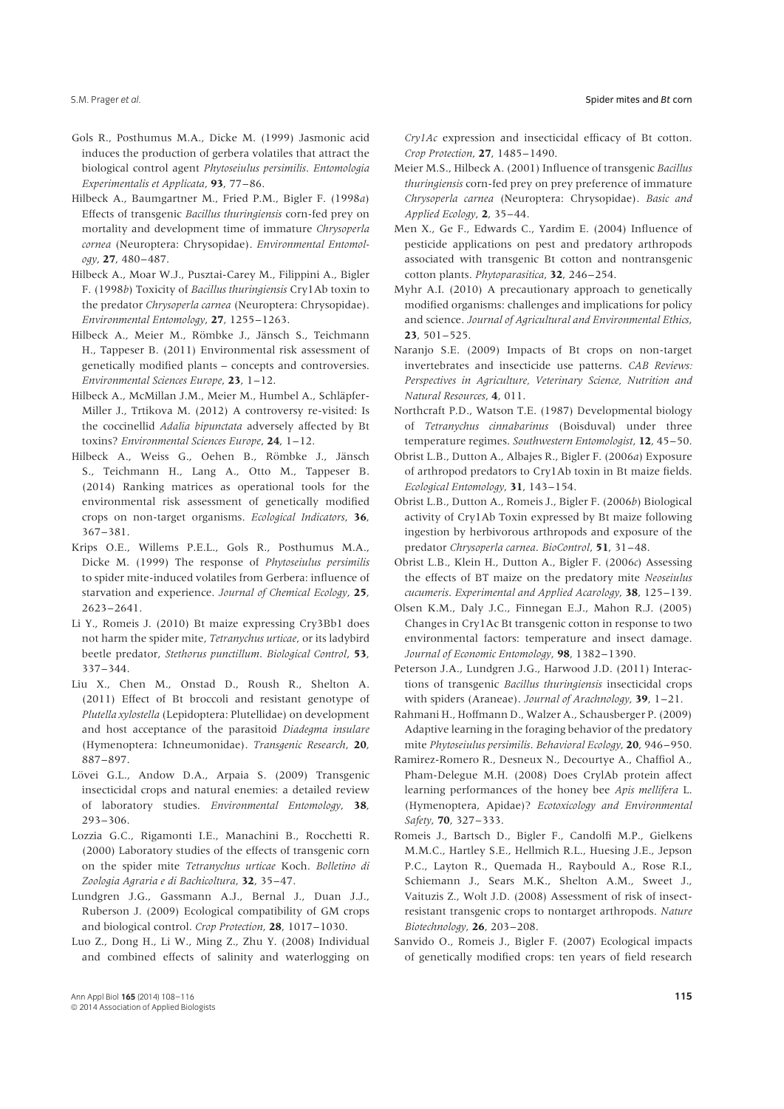- Gols R., Posthumus M.A., Dicke M. (1999) Jasmonic acid induces the production of gerbera volatiles that attract the biological control agent *Phytoseiulus persimilis*. *Entomologia Experimentalis et Applicata*, **93**, 77–86.
- Hilbeck A., Baumgartner M., Fried P.M., Bigler F. (1998*a*) Effects of transgenic *Bacillus thuringiensis* corn-fed prey on mortality and development time of immature *Chrysoperla cornea* (Neuroptera: Chrysopidae). *Environmental Entomology*, **27**, 480–487.
- Hilbeck A., Moar W.J., Pusztai-Carey M., Filippini A., Bigler F. (1998*b*) Toxicity of *Bacillus thuringiensis* Cry1Ab toxin to the predator *Chrysoperla carnea* (Neuroptera: Chrysopidae). *Environmental Entomology*, **27**, 1255–1263.
- Hilbeck A., Meier M., Römbke J., Jänsch S., Teichmann H., Tappeser B. (2011) Environmental risk assessment of genetically modified plants – concepts and controversies. *Environmental Sciences Europe*, **23**, 1–12.
- Hilbeck A., McMillan J.M., Meier M., Humbel A., Schläpfer-Miller J., Trtikova M. (2012) A controversy re-visited: Is the coccinellid *Adalia bipunctata* adversely affected by Bt toxins? *Environmental Sciences Europe*, **24**, 1–12.
- Hilbeck A., Weiss G., Oehen B., Römbke J., Jänsch S., Teichmann H., Lang A., Otto M., Tappeser B. (2014) Ranking matrices as operational tools for the environmental risk assessment of genetically modified crops on non-target organisms. *Ecological Indicators*, **36**, 367–381.
- Krips O.E., Willems P.E.L., Gols R., Posthumus M.A., Dicke M. (1999) The response of *Phytoseiulus persimilis* to spider mite-induced volatiles from Gerbera: influence of starvation and experience. *Journal of Chemical Ecology*, **25**, 2623–2641.
- Li Y., Romeis J. (2010) Bt maize expressing Cry3Bb1 does not harm the spider mite, *Tetranychus urticae*, or its ladybird beetle predator, *Stethorus punctillum*. *Biological Control*, **53**, 337–344.
- Liu X., Chen M., Onstad D., Roush R., Shelton A. (2011) Effect of Bt broccoli and resistant genotype of *Plutella xylostella* (Lepidoptera: Plutellidae) on development and host acceptance of the parasitoid *Diadegma insulare* (Hymenoptera: Ichneumonidae). *Transgenic Research*, **20**, 887–897.
- Lövei G.L., Andow D.A., Arpaia S. (2009) Transgenic insecticidal crops and natural enemies: a detailed review of laboratory studies. *Environmental Entomology*, **38**, 293–306.
- Lozzia G.C., Rigamonti I.E., Manachini B., Rocchetti R. (2000) Laboratory studies of the effects of transgenic corn on the spider mite *Tetranychus urticae* Koch. *Bolletino di Zoologia Agraria e di Bachicoltura*, **32**, 35–47.
- Lundgren J.G., Gassmann A.J., Bernal J., Duan J.J., Ruberson J. (2009) Ecological compatibility of GM crops and biological control. *Crop Protection*, **28**, 1017–1030.
- Luo Z., Dong H., Li W., Ming Z., Zhu Y. (2008) Individual and combined effects of salinity and waterlogging on

*Cry1Ac* expression and insecticidal efficacy of Bt cotton. *Crop Protection*, **27**, 1485–1490.

- Meier M.S., Hilbeck A. (2001) Influence of transgenic *Bacillus thuringiensis* corn-fed prey on prey preference of immature *Chrysoperla carnea* (Neuroptera: Chrysopidae). *Basic and Applied Ecology*, **2**, 35–44.
- Men X., Ge F., Edwards C., Yardim E. (2004) Influence of pesticide applications on pest and predatory arthropods associated with transgenic Bt cotton and nontransgenic cotton plants. *Phytoparasitica*, **32**, 246–254.
- Myhr A.I. (2010) A precautionary approach to genetically modified organisms: challenges and implications for policy and science. *Journal of Agricultural and Environmental Ethics*, **23**, 501–525.
- Naranjo S.E. (2009) Impacts of Bt crops on non-target invertebrates and insecticide use patterns. *CAB Reviews: Perspectives in Agriculture, Veterinary Science, Nutrition and Natural Resources*, **4**, 011.
- Northcraft P.D., Watson T.E. (1987) Developmental biology of *Tetranychus cinnabarinus* (Boisduval) under three temperature regimes. *Southwestern Entomologist*, **12**, 45–50.
- Obrist L.B., Dutton A., Albajes R., Bigler F. (2006*a*) Exposure of arthropod predators to Cry1Ab toxin in Bt maize fields. *Ecological Entomology*, **31**, 143–154.
- Obrist L.B., Dutton A., Romeis J., Bigler F. (2006*b*) Biological activity of Cry1Ab Toxin expressed by Bt maize following ingestion by herbivorous arthropods and exposure of the predator *Chrysoperla carnea*. *BioControl*, **51**, 31–48.
- Obrist L.B., Klein H., Dutton A., Bigler F. (2006*c*) Assessing the effects of BT maize on the predatory mite *Neoseiulus cucumeris*. *Experimental and Applied Acarology*, **38**, 125–139.
- Olsen K.M., Daly J.C., Finnegan E.J., Mahon R.J. (2005) Changes in Cry1Ac Bt transgenic cotton in response to two environmental factors: temperature and insect damage. *Journal of Economic Entomology*, **98**, 1382–1390.
- Peterson J.A., Lundgren J.G., Harwood J.D. (2011) Interactions of transgenic *Bacillus thuringiensis* insecticidal crops with spiders (Araneae). *Journal of Arachnology*, **39**, 1–21.
- Rahmani H., Hoffmann D., Walzer A., Schausberger P. (2009) Adaptive learning in the foraging behavior of the predatory mite *Phytoseiulus persimilis*. *Behavioral Ecology*, **20**, 946–950.
- Ramirez-Romero R., Desneux N., Decourtye A., Chaffiol A., Pham-Delegue M.H. (2008) Does CrylAb protein affect learning performances of the honey bee *Apis mellifera* L. (Hymenoptera, Apidae)? *Ecotoxicology and Environmental Safety*, **70**, 327–333.
- Romeis J., Bartsch D., Bigler F., Candolfi M.P., Gielkens M.M.C., Hartley S.E., Hellmich R.L., Huesing J.E., Jepson P.C., Layton R., Quemada H., Raybould A., Rose R.I., Schiemann J., Sears M.K., Shelton A.M., Sweet J., Vaituzis Z., Wolt J.D. (2008) Assessment of risk of insectresistant transgenic crops to nontarget arthropods. *Nature Biotechnology*, **26**, 203–208.
- Sanvido O., Romeis J., Bigler F. (2007) Ecological impacts of genetically modified crops: ten years of field research